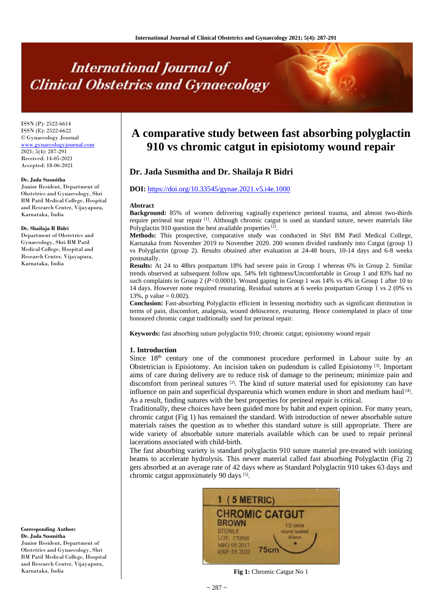# **International Journal of Clinical Obstetrics and Gynaecology**

ISSN (P): 2522-6614 ISSN (E): 2522-6622 © Gynaecology Journal <www.gynaecologyjournal.com> 2021; 5(4): 287-291 Received: 14-05-2021 Accepted: 18-06-2021

#### **Dr. Jada Susmitha**

Junior Resident, Department of Obstetrics and Gynaecology, Shri BM Patil Medical College, Hospital and Research Center, Vijayapura, Karnataka, India

#### **Dr. Shailaja R Bidri**

Department of Obstetrics and Gynaecology, Shri BM Patil Medical College, Hospital and Research Center, Vijayapura, Karnataka, India

**Corresponding Author: Dr. Jada Susmitha** Junior Resident, Department of Obstetrics and Gynaecology, Shri BM Patil Medical College, Hospital and Research Center, Vijayapura, Karnataka, India

# **A comparative study between fast absorbing polyglactin 910 vs chromic catgut in episiotomy wound repair**

# **Dr. Jada Susmitha and Dr. Shailaja R Bidri**

#### **DOI:** <https://doi.org/10.33545/gynae.2021.v5.i4e.1000>

#### **Abstract**

**Background:** 85% of women delivering vaginally experience perineal trauma, and almost two-thirds require perineal tear repair <sup>[1]</sup>. Although chromic catgut is used as standard suture, newer materials like Polyglactin 910 question the best available properties<sup>[2]</sup>.

**Methods:** This prospective, comparative study was conducted in Shri BM Patil Medical College, Karnataka from November 2019 to November 2020. 200 women divided randomly into Catgut (group 1) vs Polyglactin (group 2). Results obtained after evaluation at 24-48 hours, 10-14 days and 6-8 weeks postnatally.

**Results:** At 24 to 48hrs postpartum 18% had severe pain in Group 1 whereas 6% in Group 2. Similar trends observed at subsequent follow ups. 54% felt tightness/Uncomfortable in Group 1 and 83% had no such complaints in Group 2 (*P<*0.0001). Wound gaping in Group 1 was 14% vs 4% in Group 1 after 10 to 14 days. However none required resuturing. Residual sutures at 6 weeks postpartum Group 1 vs 2 (0% vs 13%, p value =  $0.002$ ).

**Conclusion:** Fast-absorbing Polyglactin efficient in lessening morbidity such as significant diminution in terms of pain, discomfort, analgesia, wound dehiscence, resuturing. Hence contemplated in place of time honoured chromic catgut traditionally used for perineal repair.

**Keywords:** fast absorbing suture polyglactin 910; chromic catgut; episiotomy wound repair

#### **1. Introduction**

Since 18<sup>th</sup> century one of the commonest procedure performed in Labour suite by an Obstetrician is Episiotomy. An incision taken on pudendum is called Episiotomy<sup>[3]</sup>. Important aims of care during delivery are to reduce risk of damage to the perineum; minimize pain and discomfort from perineal sutures  $[2]$ . The kind of suture material used for episiotomy can have influence on pain and superficial dyspareunia which women endure in short and medium haul<sup>[4]</sup>. As a result, finding sutures with the best properties for perineal repair is critical.

Traditionally, these choices have been guided more by habit and expert opinion. For many years, chromic catgut (Fig 1) has remained the standard. With introduction of newer absorbable suture materials raises the question as to whether this standard suture is still appropriate. There are wide variety of absorbable suture materials available which can be used to repair perineal lacerations associated with child-birth.

The fast absorbing variety is standard polyglactin 910 suture material pre-treated with ionizing beams to accelerate hydrolysis. This newer material called fast absorbing Polyglactin (Fig 2) gets absorbed at an average rate of 42 days where as Standard Polyglactin 910 takes 63 days and chromic catgut approximately 90 days [5].



**Fig 1:** Chromic Catgut No 1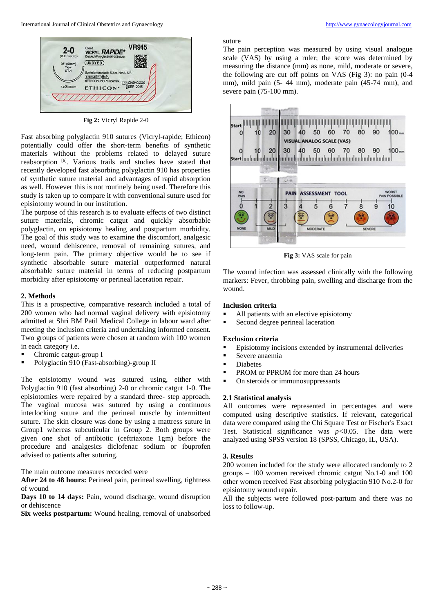

**Fig 2:** Vicryl Rapide 2-0

Fast absorbing polyglactin 910 sutures (Vicryl-rapide; Ethicon) potentially could offer the short-term benefits of synthetic materials without the problems related to delayed suture reabsorption [6] . Various trails and studies have stated that recently developed fast absorbing polyglactin 910 has properties of synthetic suture material and advantages of rapid absorption as well. However this is not routinely being used. Therefore this study is taken up to compare it with conventional suture used for episiotomy wound in our institution.

The purpose of this research is to evaluate effects of two distinct suture materials, chromic catgut and quickly absorbable polyglactin, on episiotomy healing and postpartum morbidity. The goal of this study was to examine the discomfort, analgesic need, wound dehiscence, removal of remaining sutures, and long-term pain. The primary objective would be to see if synthetic absorbable suture material outperformed natural absorbable suture material in terms of reducing postpartum morbidity after episiotomy or perineal laceration repair.

#### **2. Methods**

This is a prospective, comparative research included a total of 200 women who had normal vaginal delivery with episiotomy admitted at Shri BM Patil Medical College in labour ward after meeting the inclusion criteria and undertaking informed consent. Two groups of patients were chosen at random with 100 women in each category i.e.

- Chromic catgut-group I
- Polyglactin 910 (Fast-absorbing)-group II

The episiotomy wound was sutured using, either with Polyglactin 910 (fast absorbing) 2-0 or chromic catgut 1-0. The episiotomies were repaired by a standard three- step approach. The vaginal mucosa was sutured by using a continuous interlocking suture and the perineal muscle by intermittent suture. The skin closure was done by using a mattress suture in Group1 whereas subcuticular in Group 2. Both groups were given one shot of antibiotic (ceftriaxone 1gm) before the procedure and analgesics diclofenac sodium or ibuprofen advised to patients after suturing.

The main outcome measures recorded were

**After 24 to 48 hours:** Perineal pain, perineal swelling, tightness of wound

**Days 10 to 14 days:** Pain, wound discharge, wound disruption or dehiscence

**Six weeks postpartum:** Wound healing, removal of unabsorbed

suture

The pain perception was measured by using visual analogue scale (VAS) by using a ruler; the score was determined by measuring the distance (mm) as none, mild, moderate or severe, the following are cut off points on VAS (Fig 3): no pain (0-4 mm), mild pain (5- 44 mm), moderate pain (45-74 mm), and severe pain (75-100 mm).



**Fig 3:** VAS scale for pain

The wound infection was assessed clinically with the following markers: Fever, throbbing pain, swelling and discharge from the wound.

#### **Inclusion criteria**

- All patients with an elective episiotomy
- Second degree perineal laceration

#### **Exclusion criteria**

- Episiotomy incisions extended by instrumental deliveries
- Severe anaemia
- Diabetes
- PROM or PPROM for more than 24 hours
- On steroids or immunosuppressants

## **2.1 Statistical analysis**

All outcomes were represented in percentages and were computed using descriptive statistics. If relevant, categorical data were compared using the Chi Square Test or Fischer's Exact Test. Statistical significance was *p<*0.05. The data were analyzed using SPSS version 18 (SPSS, Chicago, IL, USA).

## **3. Results**

200 women included for the study were allocated randomly to 2 groups – 100 women received chromic catgut No.1-0 and 100 other women received Fast absorbing polyglactin 910 No.2-0 for episiotomy wound repair.

All the subjects were followed post-partum and there was no loss to follow-up.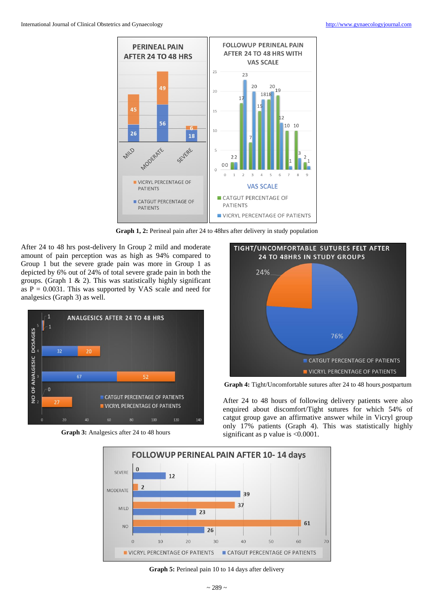

**Graph 1, 2:** Perineal pain after 24 to 48hrs after delivery in study population

After 24 to 48 hrs post-delivery In Group 2 mild and moderate amount of pain perception was as high as 94% compared to Group 1 but the severe grade pain was more in Group 1 as depicted by 6% out of 24% of total severe grade pain in both the groups. (Graph  $1 \& 2$ ). This was statistically highly significant as  $P = 0.0031$ . This was supported by VAS scale and need for analgesics (Graph 3) as well.



**Graph 3:** Analgesics after 24 to 48 hours



**Graph 4:** Tight/Uncomfortable sutures after 24 to 48 hours postpartum

After 24 to 48 hours of following delivery patients were also enquired about discomfort/Tight sutures for which 54% of catgut group gave an affirmative answer while in Vicryl group only 17% patients (Graph 4). This was statistically highly significant as p value is <0.0001.



Graph 5: Perineal pain 10 to 14 days after delivery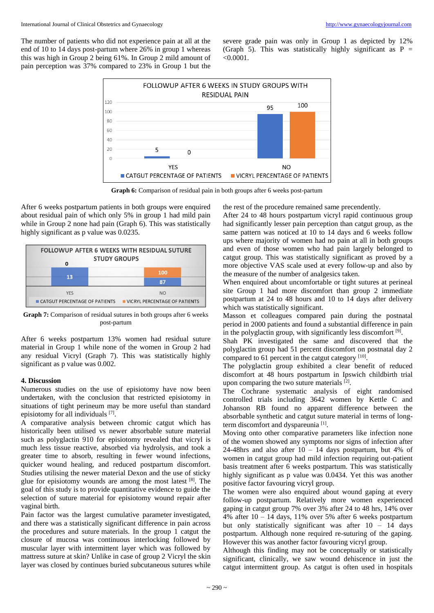The number of patients who did not experience pain at all at the end of 10 to 14 days post-partum where 26% in group 1 whereas this was high in Group 2 being 61%. In Group 2 mild amount of pain perception was 37% compared to 23% in Group 1 but the

severe grade pain was only in Group 1 as depicted by 12% (Graph 5). This was statistically highly significant as  $P =$  $< 0.0001$ .



**Graph 6:** Comparison of residual pain in both groups after 6 weeks post-partum

After 6 weeks postpartum patients in both groups were enquired about residual pain of which only 5% in group 1 had mild pain while in Group 2 none had pain (Graph 6). This was statistically highly significant as p value was 0.0235.



**Graph 7:** Comparison of residual sutures in both groups after 6 weeks post-partum

After 6 weeks postpartum 13% women had residual suture material in Group 1 while none of the women in Group 2 had any residual Vicryl (Graph 7). This was statistically highly significant as p value was 0.002.

#### **4. Discussion**

Numerous studies on the use of episiotomy have now been undertaken, with the conclusion that restricted episiotomy in situations of tight perineum may be more useful than standard episiotomy for all individuals [7].

A comparative analysis between chromic catgut which has historically been utilised vs newer absorbable suture material such as polyglactin 910 for episiotomy revealed that vicryl is much less tissue reactive, absorbed via hydrolysis, and took a greater time to absorb, resulting in fewer wound infections, quicker wound healing, and reduced postpartum discomfort. Studies utilising the newer material Dexon and the use of sticky glue for episiotomy wounds are among the most latest [8]. The goal of this study is to provide quantitative evidence to guide the selection of suture material for episiotomy wound repair after vaginal birth.

Pain factor was the largest cumulative parameter investigated, and there was a statistically significant difference in pain across the procedures and suture materials. In the group 1 catgut the closure of mucosa was continuous interlocking followed by muscular layer with intermittent layer which was followed by mattress suture at skin? Unlike in case of group 2 Vicryl the skin layer was closed by continues buried subcutaneous sutures while

the rest of the procedure remained same precendently.

After 24 to 48 hours postpartum vicryl rapid continuous group had significantly lesser pain perception than catgut group, as the same pattern was noticed at 10 to 14 days and 6 weeks follow ups where majority of women had no pain at all in both groups and even of those women who had pain largely belonged to catgut group. This was statistically significant as proved by a more objective VAS scale used at every follow-up and also by the measure of the number of analgesics taken.

When enquired about uncomfortable or tight sutures at perineal site Group 1 had more discomfort than group 2 immediate postpartum at 24 to 48 hours and 10 to 14 days after delivery which was statistically significant.

Masson et colleagues compared pain during the postnatal period in 2000 patients and found a substantial difference in pain in the polyglactin group, with significantly less discomfort [9].

Shah PK investigated the same and discovered that the polyglactin group had 51 percent discomfort on postnatal day 2 compared to 61 percent in the catgut category [10].

The polyglactin group exhibited a clear benefit of reduced discomfort at 48 hours postpartum in Ipswich childbirth trial upon comparing the two suture materials [2].

The Cochrane systematic analysis of eight randomised controlled trials including 3642 women by Kettle C and Johanson RB found no apparent difference between the absorbable synthetic and catgut suture material in terms of longterm discomfort and dyspareunia<sup>[1]</sup>.

Moving onto other comparative parameters like infection none of the women showed any symptoms nor signs of infection after 24-48hrs and also after  $10 - 14$  days postpartum, but 4% of women in catgut group had mild infection requiring out-patient basis treatment after 6 weeks postpartum. This was statistically highly significant as p value was 0.0434. Yet this was another positive factor favouring vicryl group.

The women were also enquired about wound gaping at every follow-up postpartum. Relatively more women experienced gaping in catgut group 7% over 3% after 24 to 48 hrs, 14% over 4% after 10 – 14 days, 11% over 5% after 6 weeks postpartum but only statistically significant was after 10 – 14 days postpartum. Although none required re-suturing of the gaping. However this was another factor favouring vicryl group.

Although this finding may not be conceptually or statistically significant, clinically, we saw wound dehiscence in just the catgut intermittent group. As catgut is often used in hospitals